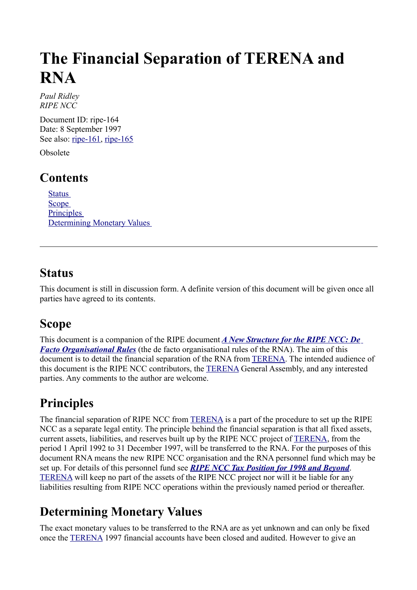# **The Financial Separation of TERENA and RNA**

*Paul Ridley RIPE NCC* 

Document ID: ripe-164 Date: 8 September 1997 See also: [ripe-161,](http://www.ripe.net/ripe/docs/ripe-161.html) [ripe-165](http://www.ripe.net/ripe/docs/ripe-165.html)

Obsolete

### **Contents**

[Status](#page-0-3) **[Scope](#page-0-2) Principles** [Determining Monetary](#page-0-0) Values

#### <span id="page-0-3"></span>**Status**

<span id="page-0-2"></span>This document is still in discussion form. A definite version of this document will be given once all parties have agreed to its contents.

### **Scope**

This document is a companion of the RIPE document *[A New Structure for the RIPE NCC: De](http://www.ripe.net/ripe/docs/ripe-161.html) [Facto Organisational Rules](http://www.ripe.net/ripe/docs/ripe-161.html)* (the de facto organisational rules of the RNA). The aim of this document is to detail the financial separation of the RNA from [TERENA.](http://www.terena.nl/) The intended audience of this document is the RIPE NCC contributors, the [TERENA](http://www.terena.nl/) General Assembly, and any interested parties. Any comments to the author are welcome.

## <span id="page-0-1"></span>**Principles**

The financial separation of RIPE NCC from [TERENA](http://www.terena.nl/) is a part of the procedure to set up the RIPE NCC as a separate legal entity. The principle behind the financial separation is that all fixed assets, current assets, liabilities, and reserves built up by the RIPE NCC project of [TERENA,](http://www.terena.nl/) from the period 1 April 1992 to 31 December 1997, will be transferred to the RNA. For the purposes of this document RNA means the new RIPE NCC organisation and the RNA personnel fund which may be set up. For details of this personnel fund see *[RIPE NCC Tax Position for 1998 and Beyond](http://www.ripe.net/ripe/docs/ripe-165.html)*. [TERENA](http://www.terena.nl/) will keep no part of the assets of the RIPE NCC project nor will it be liable for any liabilities resulting from RIPE NCC operations within the previously named period or thereafter.

## <span id="page-0-0"></span>**Determining Monetary Values**

The exact monetary values to be transferred to the RNA are as yet unknown and can only be fixed once the [TERENA](http://www.terena.nl/) 1997 financial accounts have been closed and audited. However to give an